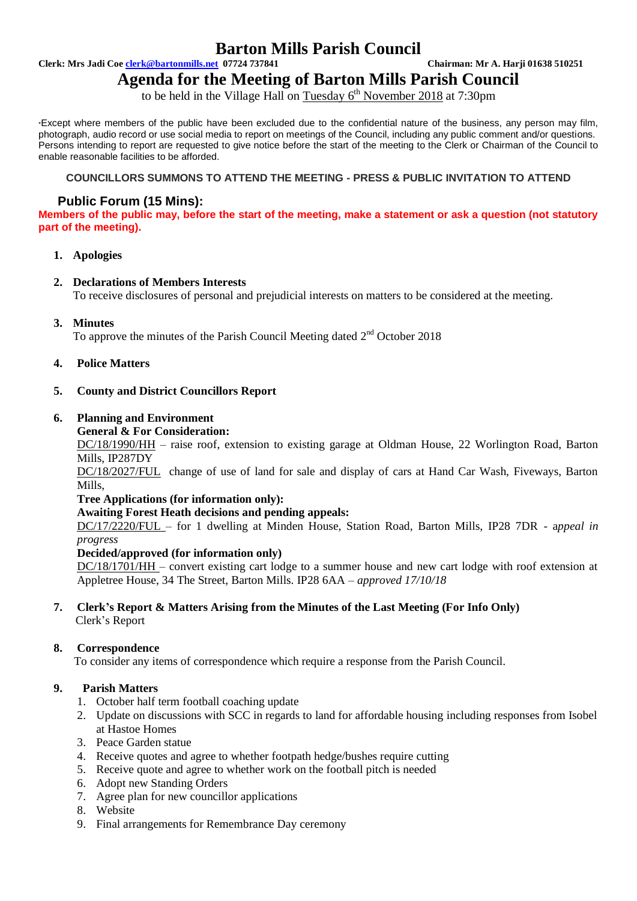# **Barton Mills Parish Council**

**Clerk: Mrs Jadi Coe clerk@bartonmills.net 07724 737841 Chairman: Mr A. Harji 01638 510251**

# **Agenda for the Meeting of Barton Mills Parish Council**

to be held in the Village Hall on Tuesday 6<sup>th</sup> November 2018 at 7:30pm

\*Except where members of the public have been excluded due to the confidential nature of the business, any person may film, photograph, audio record or use social media to report on meetings of the Council, including any public comment and/or questions. Persons intending to report are requested to give notice before the start of the meeting to the Clerk or Chairman of the Council to enable reasonable facilities to be afforded.

# **COUNCILLORS SUMMONS TO ATTEND THE MEETING - PRESS & PUBLIC INVITATION TO ATTEND**

# **Public Forum (15 Mins):**

**Members of the public may, before the start of the meeting, make a statement or ask a question (not statutory part of the meeting).**

# **1. Apologies**

# **2. Declarations of Members Interests**

To receive disclosures of personal and prejudicial interests on matters to be considered at the meeting.

# **3. Minutes**

To approve the minutes of the Parish Council Meeting dated  $2<sup>nd</sup>$  October 2018

# **4. Police Matters**

# **5. County and District Councillors Report**

# **6. Planning and Environment**

#### **General & For Consideration:**

DC/18/1990/HH – raise roof, extension to existing garage at Oldman House, 22 Worlington Road, Barton Mills, IP287DY

DC/18/2027/FUL change of use of land for sale and display of cars at Hand Car Wash, Fiveways, Barton Mills,

#### **Tree Applications (for information only):**

#### **Awaiting Forest Heath decisions and pending appeals:**

DC/17/2220/FUL – for 1 dwelling at Minden House, Station Road, Barton Mills, IP28 7DR - a*ppeal in progress*

#### **Decided/approved (for information only)**

DC/18/1701/HH – convert existing cart lodge to a summer house and new cart lodge with roof extension at Appletree House, 34 The Street, Barton Mills. IP28 6AA *– approved 17/10/18*

#### **7. Clerk's Report & Matters Arising from the Minutes of the Last Meeting (For Info Only)** Clerk's Report

# **8. Correspondence**

To consider any items of correspondence which require a response from the Parish Council.

# **9. Parish Matters**

- 1. October half term football coaching update
- 2. Update on discussions with SCC in regards to land for affordable housing including responses from Isobel at Hastoe Homes
- 3. Peace Garden statue
- 4. Receive quotes and agree to whether footpath hedge/bushes require cutting
- 5. Receive quote and agree to whether work on the football pitch is needed
- 6. Adopt new Standing Orders
- 7. Agree plan for new councillor applications
- 8. Website
- 9. Final arrangements for Remembrance Day ceremony